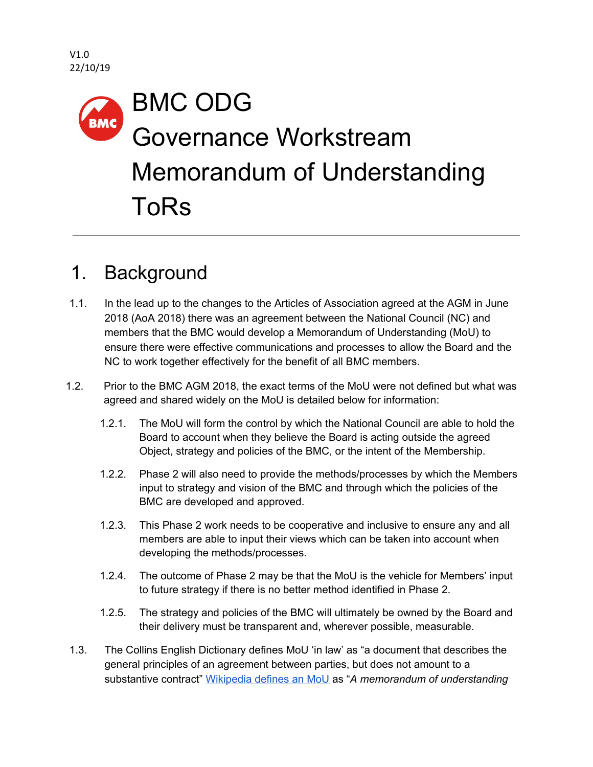# BMC ODG **BMC** Governance Workstream Memorandum of Understanding ToRs

# 1. Background

- 1.1. In the lead up to the changes to the Articles of Association agreed at the AGM in June 2018 (AoA 2018) there was an agreement between the National Council (NC) and members that the BMC would develop a Memorandum of Understanding (MoU) to ensure there were effective communications and processes to allow the Board and the NC to work together effectively for the benefit of all BMC members.
- 1.2. Prior to the BMC AGM 2018, the exact terms of the MoU were not defined but what was agreed and shared widely on the MoU is detailed below for information:
	- 1.2.1. The MoU will form the control by which the National Council are able to hold the Board to account when they believe the Board is acting outside the agreed Object, strategy and policies of the BMC, or the intent of the Membership.
	- 1.2.2. Phase 2 will also need to provide the methods/processes by which the Members input to strategy and vision of the BMC and through which the policies of the BMC are developed and approved.
	- 1.2.3. This Phase 2 work needs to be cooperative and inclusive to ensure any and all members are able to input their views which can be taken into account when developing the methods/processes.
	- 1.2.4. The outcome of Phase 2 may be that the MoU is the vehicle for Members' input to future strategy if there is no better method identified in Phase 2.
	- 1.2.5. The strategy and policies of the BMC will ultimately be owned by the Board and their delivery must be transparent and, wherever possible, measurable.
- 1.3. The Collins English Dictionary defines MoU 'in law' as "a document that describes the general principles of an agreement between parties, but does not amount to a substantive contract" [Wikipedia](https://en.wikipedia.org/wiki/Memorandum_of_understanding) defines an MoU as "*A memorandum of understanding*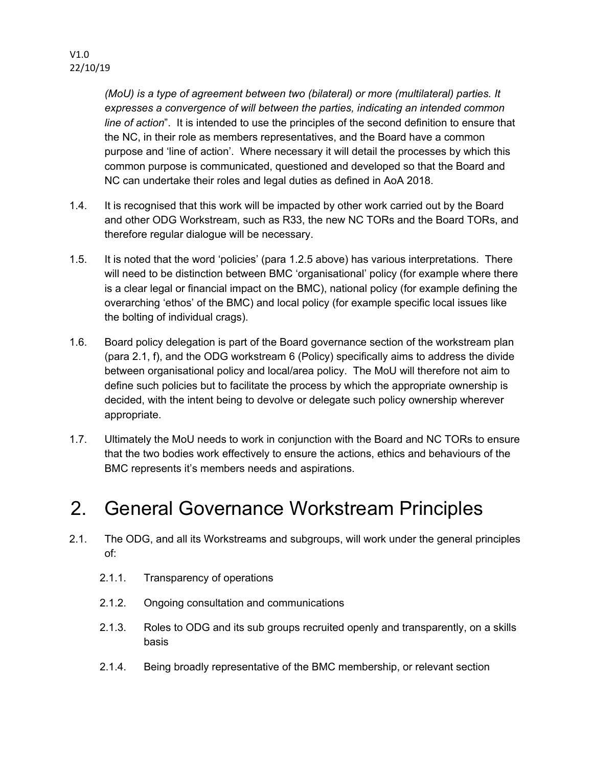*(MoU) is a type of agreement between two (bilateral) or more (multilateral) parties. It expresses a convergence of will between the parties, indicating an intended common line of action*". It is intended to use the principles of the second definition to ensure that the NC, in their role as members representatives, and the Board have a common purpose and 'line of action'. Where necessary it will detail the processes by which this common purpose is communicated, questioned and developed so that the Board and NC can undertake their roles and legal duties as defined in AoA 2018.

- 1.4. It is recognised that this work will be impacted by other work carried out by the Board and other ODG Workstream, such as R33, the new NC TORs and the Board TORs, and therefore regular dialogue will be necessary.
- 1.5. It is noted that the word 'policies' (para 1.2.5 above) has various interpretations. There will need to be distinction between BMC 'organisational' policy (for example where there is a clear legal or financial impact on the BMC), national policy (for example defining the overarching 'ethos' of the BMC) and local policy (for example specific local issues like the bolting of individual crags).
- 1.6. Board policy delegation is part of the Board governance section of the workstream plan (para 2.1, f), and the ODG workstream 6 (Policy) specifically aims to address the divide between organisational policy and local/area policy. The MoU will therefore not aim to define such policies but to facilitate the process by which the appropriate ownership is decided, with the intent being to devolve or delegate such policy ownership wherever appropriate.
- 1.7. Ultimately the MoU needs to work in conjunction with the Board and NC TORs to ensure that the two bodies work effectively to ensure the actions, ethics and behaviours of the BMC represents it's members needs and aspirations.

## 2. General Governance Workstream Principles

- 2.1. The ODG, and all its Workstreams and subgroups, will work under the general principles of:
	- 2.1.1. Transparency of operations
	- 2.1.2. Ongoing consultation and communications
	- 2.1.3. Roles to ODG and its sub groups recruited openly and transparently, on a skills basis
	- 2.1.4. Being broadly representative of the BMC membership, or relevant section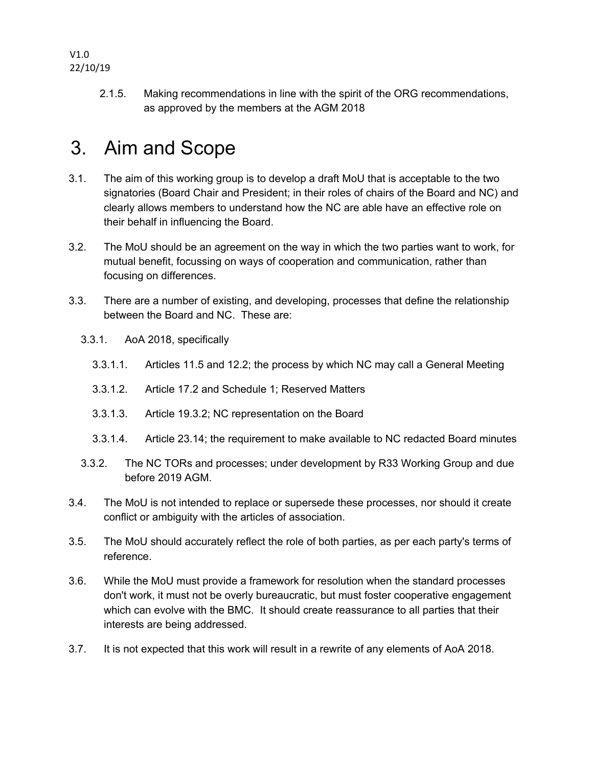V1.0 22/10/19

> 2.1.5. Making recommendations in line with the spirit of the ORG recommendations, as approved by the members at the AGM 2018

### 3. Aim and Scope

- 3.1. The aim of this working group is to develop a draft MoU that is acceptable to the two signatories (Board Chair and President; in their roles of chairs of the Board and NC) and clearly allows members to understand how the NC are able have an effective role on their behalf in influencing the Board.
- 3.2. The MoU should be an agreement on the way in which the two parties want to work, for mutual benefit, focussing on ways of cooperation and communication, rather than focusing on differences.
- 3.3. There are a number of existing, and developing, processes that define the relationship between the Board and NC. These are:
	- 3.3.1. AoA 2018, specifically
		- 3.3.1.1. Articles 11.5 and 12.2; the process by which NC may call a General Meeting
		- 3.3.1.2. Article 17.2 and Schedule 1; Reserved Matters
		- 3.3.1.3. Article 19.3.2; NC representation on the Board
		- 3.3.1.4. Article 23.14; the requirement to make available to NC redacted Board minutes
	- 3.3.2. The NC TORs and processes; under development by R33 Working Group and due before 2019 AGM.
- 3.4. The MoU is not intended to replace or supersede these processes, nor should it create conflict or ambiguity with the articles of association.
- 3.5. The MoU should accurately reflect the role of both parties, as per each party's terms of reference.
- 3.6. While the MoU must provide a framework for resolution when the standard processes don't work, it must not be overly bureaucratic, but must foster cooperative engagement which can evolve with the BMC. It should create reassurance to all parties that their interests are being addressed.
- 3.7. It is not expected that this work will result in a rewrite of any elements of AoA 2018.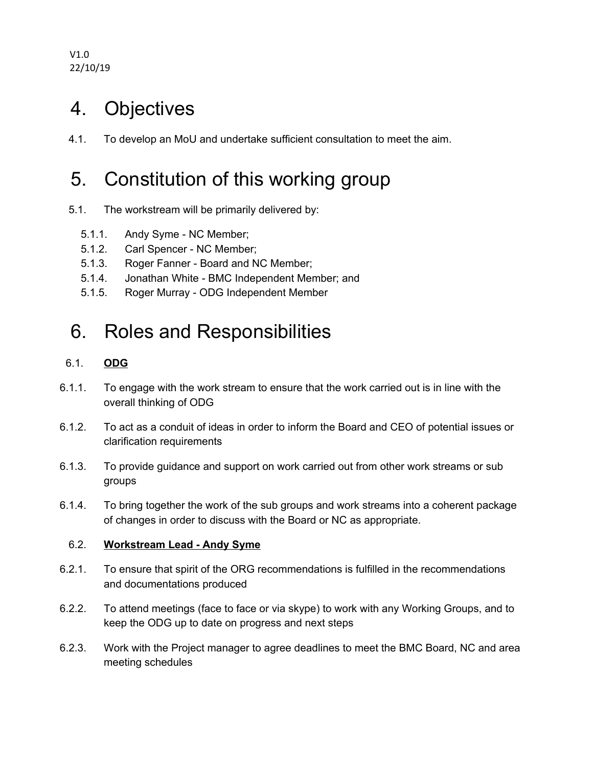V1.0 22/10/19

#### 4. Objectives

4.1. To develop an MoU and undertake sufficient consultation to meet the aim.

### 5. Constitution of this working group

- 5.1. The workstream will be primarily delivered by:
	- 5.1.1. Andy Syme NC Member;
	- 5.1.2. Carl Spencer NC Member;
	- 5.1.3. Roger Fanner Board and NC Member;
	- 5.1.4. Jonathan White BMC Independent Member; and
	- 5.1.5. Roger Murray ODG Independent Member

#### 6. Roles and Responsibilities

#### 6.1. **ODG**

- 6.1.1. To engage with the work stream to ensure that the work carried out is in line with the overall thinking of ODG
- 6.1.2. To act as a conduit of ideas in order to inform the Board and CEO of potential issues or clarification requirements
- 6.1.3. To provide guidance and support on work carried out from other work streams or sub groups
- 6.1.4. To bring together the work of the sub groups and work streams into a coherent package of changes in order to discuss with the Board or NC as appropriate.

#### 6.2. **Workstream Lead - Andy Syme**

- 6.2.1. To ensure that spirit of the ORG recommendations is fulfilled in the recommendations and documentations produced
- 6.2.2. To attend meetings (face to face or via skype) to work with any Working Groups, and to keep the ODG up to date on progress and next steps
- 6.2.3. Work with the Project manager to agree deadlines to meet the BMC Board, NC and area meeting schedules